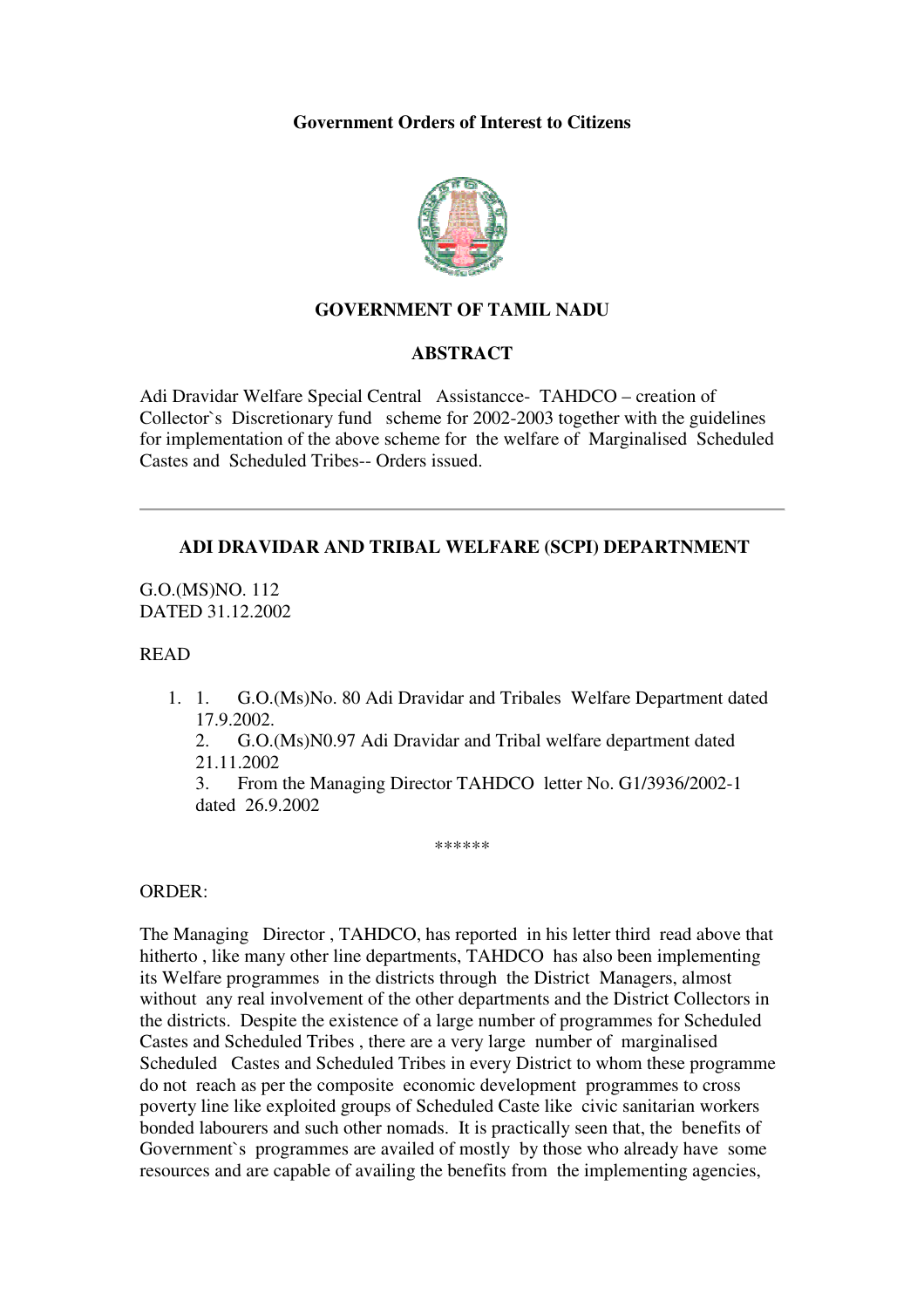### **Government Orders of Interest to Citizens**



## **GOVERNMENT OF TAMIL NADU**

#### **ABSTRACT**

Adi Dravidar Welfare Special Central Assistancce- TAHDCO – creation of Collector`s Discretionary fund scheme for 2002-2003 together with the guidelines for implementation of the above scheme for the welfare of Marginalised Scheduled Castes and Scheduled Tribes-- Orders issued.

### **ADI DRAVIDAR AND TRIBAL WELFARE (SCPI) DEPARTNMENT**

G.O.(MS)NO. 112 DATED 31.12.2002

### READ

1. 1. G.O.(Ms)No. 80 Adi Dravidar and Tribales Welfare Department dated 17.9.2002.

2. G.O.(Ms)N0.97 Adi Dravidar and Tribal welfare department dated 21.11.2002

3. From the Managing Director TAHDCO letter No. G1/3936/2002-1 dated 26.9.2002

\*\*\*\*\*\*

#### ORDER:

The Managing Director , TAHDCO, has reported in his letter third read above that hitherto, like many other line departments, TAHDCO has also been implementing its Welfare programmes in the districts through the District Managers, almost without any real involvement of the other departments and the District Collectors in the districts. Despite the existence of a large number of programmes for Scheduled Castes and Scheduled Tribes , there are a very large number of marginalised Scheduled Castes and Scheduled Tribes in every District to whom these programme do not reach as per the composite economic development programmes to cross poverty line like exploited groups of Scheduled Caste like civic sanitarian workers bonded labourers and such other nomads. It is practically seen that, the benefits of Government`s programmes are availed of mostly by those who already have some resources and are capable of availing the benefits from the implementing agencies,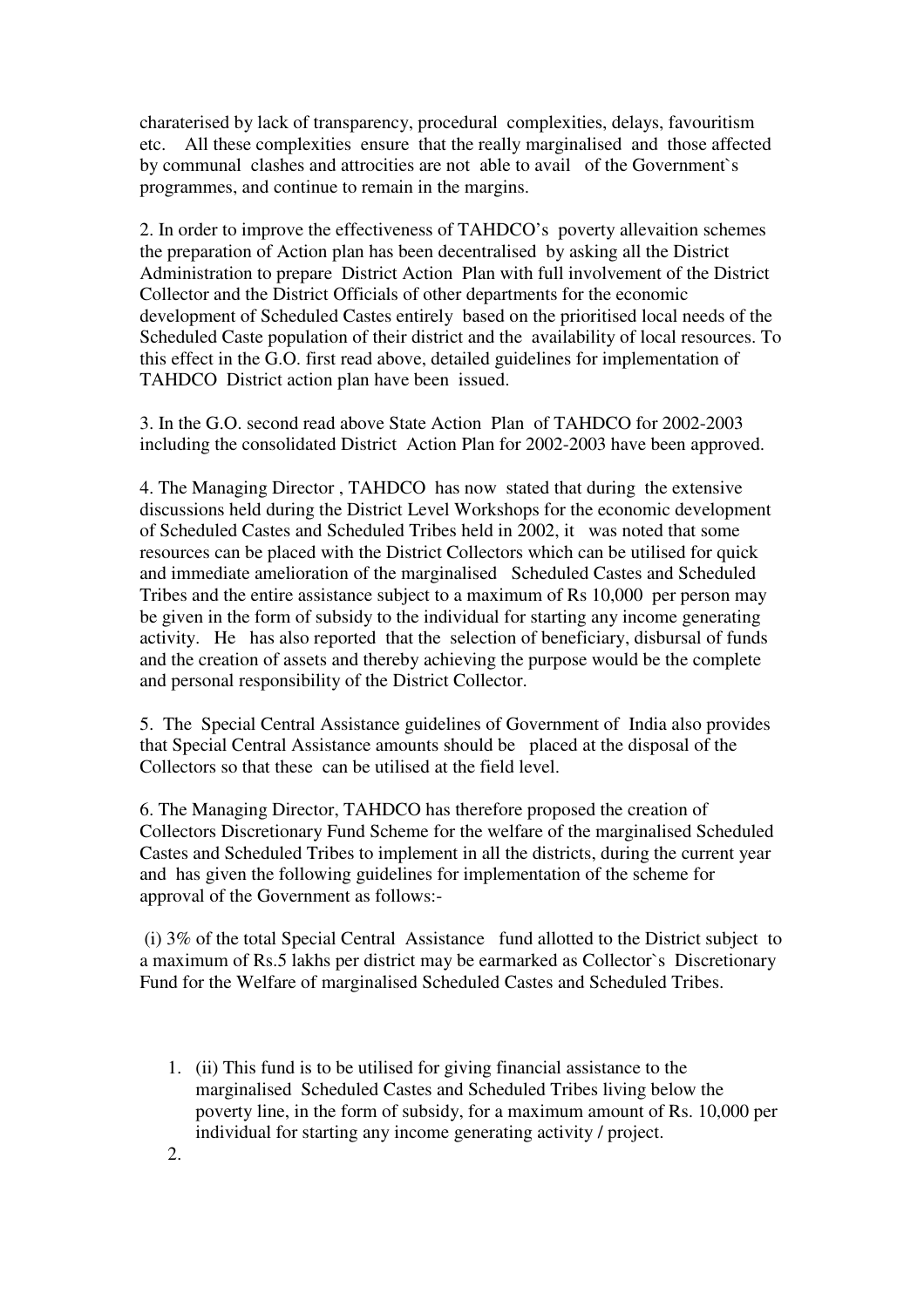charaterised by lack of transparency, procedural complexities, delays, favouritism etc. All these complexities ensure that the really marginalised and those affected by communal clashes and attrocities are not able to avail of the Government`s programmes, and continue to remain in the margins.

2. In order to improve the effectiveness of TAHDCO's poverty allevaition schemes the preparation of Action plan has been decentralised by asking all the District Administration to prepare District Action Plan with full involvement of the District Collector and the District Officials of other departments for the economic development of Scheduled Castes entirely based on the prioritised local needs of the Scheduled Caste population of their district and the availability of local resources. To this effect in the G.O. first read above, detailed guidelines for implementation of TAHDCO District action plan have been issued.

3. In the G.O. second read above State Action Plan of TAHDCO for 2002-2003 including the consolidated District Action Plan for 2002-2003 have been approved.

4. The Managing Director , TAHDCO has now stated that during the extensive discussions held during the District Level Workshops for the economic development of Scheduled Castes and Scheduled Tribes held in 2002, it was noted that some resources can be placed with the District Collectors which can be utilised for quick and immediate amelioration of the marginalised Scheduled Castes and Scheduled Tribes and the entire assistance subject to a maximum of Rs 10,000 per person may be given in the form of subsidy to the individual for starting any income generating activity. He has also reported that the selection of beneficiary, disbursal of funds and the creation of assets and thereby achieving the purpose would be the complete and personal responsibility of the District Collector.

5. The Special Central Assistance guidelines of Government of India also provides that Special Central Assistance amounts should be placed at the disposal of the Collectors so that these can be utilised at the field level.

6. The Managing Director, TAHDCO has therefore proposed the creation of Collectors Discretionary Fund Scheme for the welfare of the marginalised Scheduled Castes and Scheduled Tribes to implement in all the districts, during the current year and has given the following guidelines for implementation of the scheme for approval of the Government as follows:-

 (i) 3% of the total Special Central Assistance fund allotted to the District subject to a maximum of Rs.5 lakhs per district may be earmarked as Collector`s Discretionary Fund for the Welfare of marginalised Scheduled Castes and Scheduled Tribes.

1. (ii) This fund is to be utilised for giving financial assistance to the marginalised Scheduled Castes and Scheduled Tribes living below the poverty line, in the form of subsidy, for a maximum amount of Rs. 10,000 per individual for starting any income generating activity / project. 2.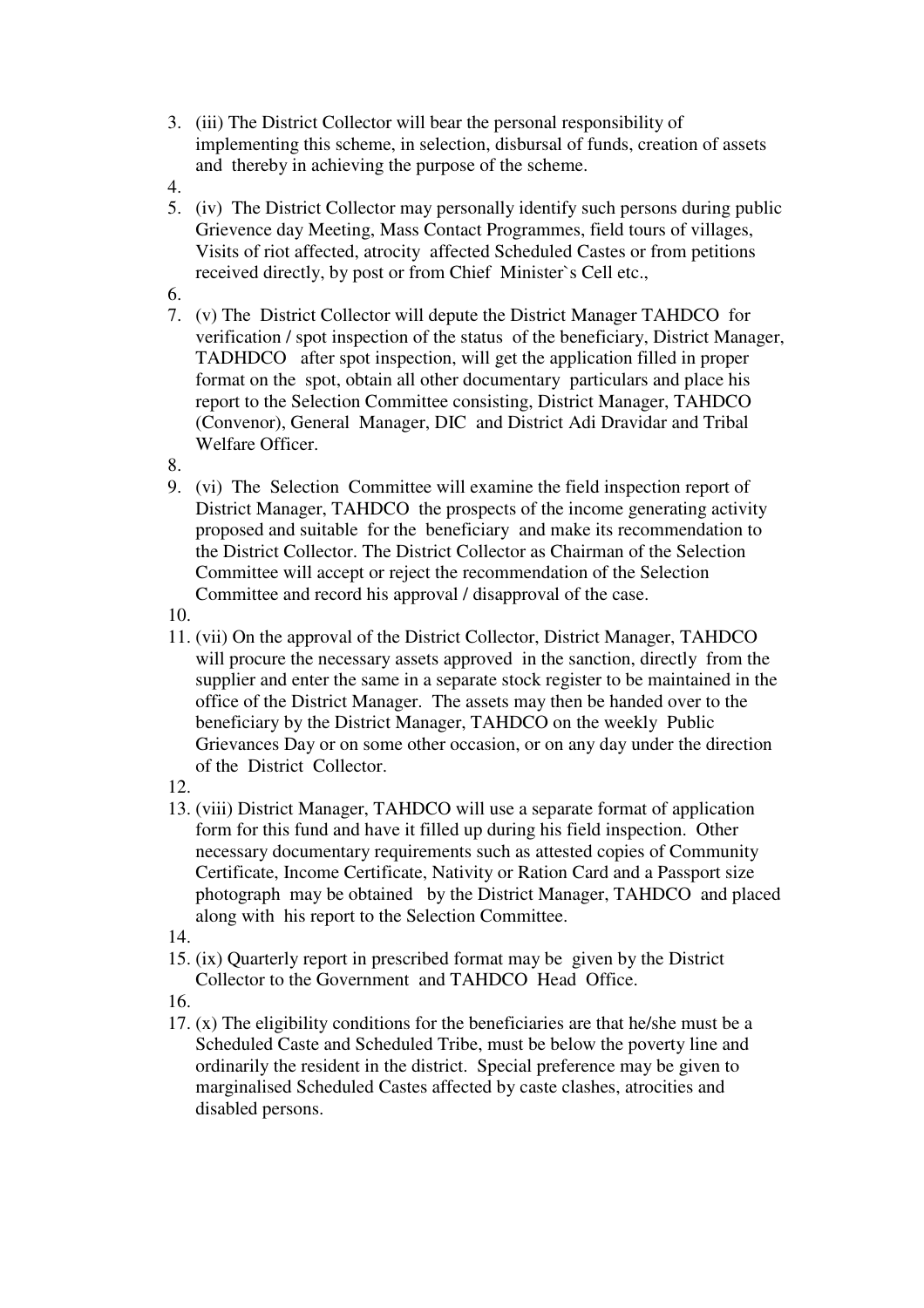- 3. (iii) The District Collector will bear the personal responsibility of implementing this scheme, in selection, disbursal of funds, creation of assets and thereby in achieving the purpose of the scheme.
- 4.
- 5. (iv) The District Collector may personally identify such persons during public Grievence day Meeting, Mass Contact Programmes, field tours of villages, Visits of riot affected, atrocity affected Scheduled Castes or from petitions received directly, by post or from Chief Minister`s Cell etc.,
- 6.
- 7. (v) The District Collector will depute the District Manager TAHDCO for verification / spot inspection of the status of the beneficiary, District Manager, TADHDCO after spot inspection, will get the application filled in proper format on the spot, obtain all other documentary particulars and place his report to the Selection Committee consisting, District Manager, TAHDCO (Convenor), General Manager, DIC and District Adi Dravidar and Tribal Welfare Officer.
- 8.
- 9. (vi) The Selection Committee will examine the field inspection report of District Manager, TAHDCO the prospects of the income generating activity proposed and suitable for the beneficiary and make its recommendation to the District Collector. The District Collector as Chairman of the Selection Committee will accept or reject the recommendation of the Selection Committee and record his approval / disapproval of the case.

10.

- 11. (vii) On the approval of the District Collector, District Manager, TAHDCO will procure the necessary assets approved in the sanction, directly from the supplier and enter the same in a separate stock register to be maintained in the office of the District Manager. The assets may then be handed over to the beneficiary by the District Manager, TAHDCO on the weekly Public Grievances Day or on some other occasion, or on any day under the direction of the District Collector.
- 12.
- 13. (viii) District Manager, TAHDCO will use a separate format of application form for this fund and have it filled up during his field inspection. Other necessary documentary requirements such as attested copies of Community Certificate, Income Certificate, Nativity or Ration Card and a Passport size photograph may be obtained by the District Manager, TAHDCO and placed along with his report to the Selection Committee.
- 14.
- 15. (ix) Quarterly report in prescribed format may be given by the District Collector to the Government and TAHDCO Head Office.

16.

17. (x) The eligibility conditions for the beneficiaries are that he/she must be a Scheduled Caste and Scheduled Tribe, must be below the poverty line and ordinarily the resident in the district. Special preference may be given to marginalised Scheduled Castes affected by caste clashes, atrocities and disabled persons.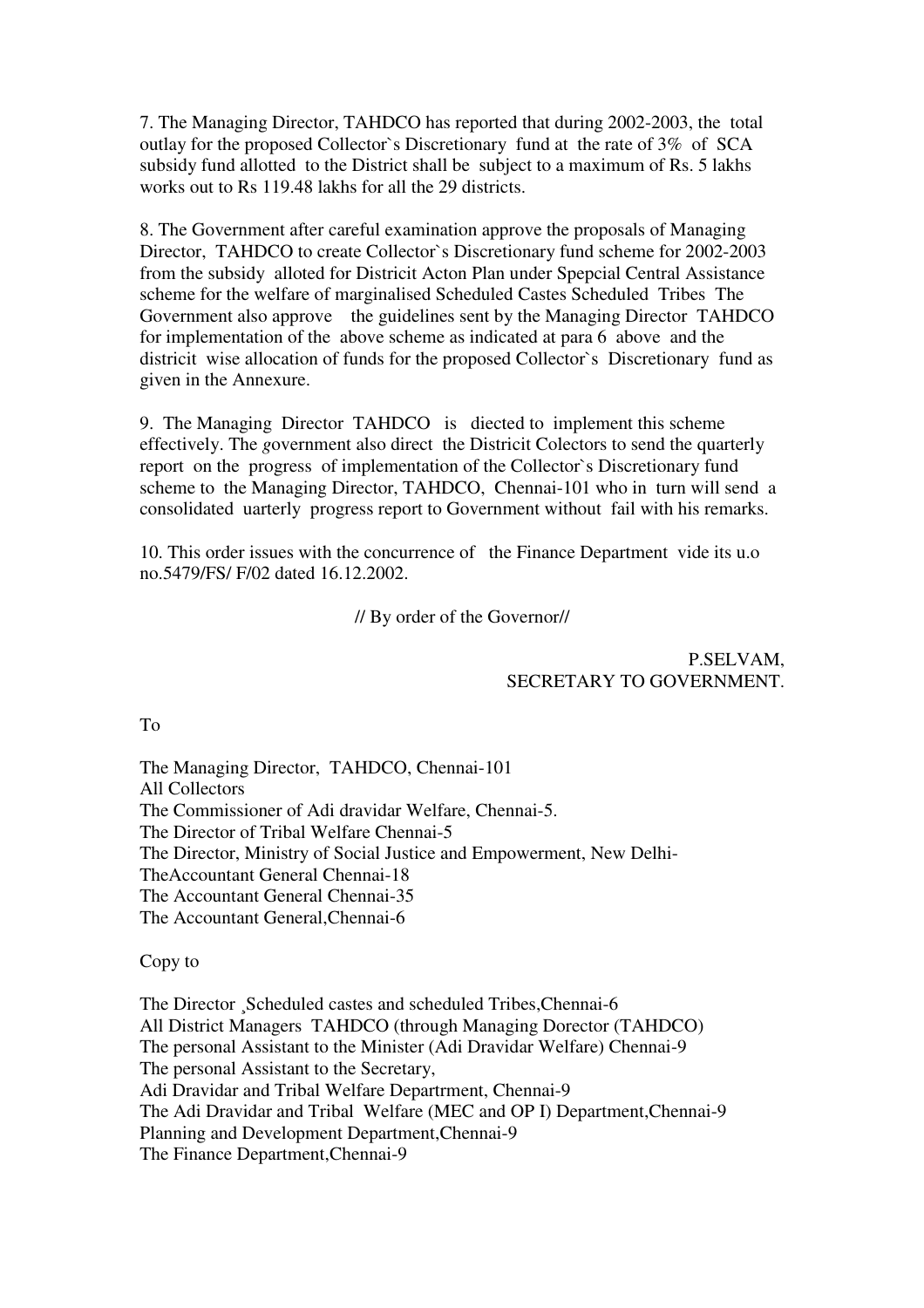7. The Managing Director, TAHDCO has reported that during 2002-2003, the total outlay for the proposed Collector`s Discretionary fund at the rate of 3% of SCA subsidy fund allotted to the District shall be subject to a maximum of Rs. 5 lakhs works out to Rs 119.48 lakhs for all the 29 districts.

8. The Government after careful examination approve the proposals of Managing Director, TAHDCO to create Collector`s Discretionary fund scheme for 2002-2003 from the subsidy alloted for Districit Acton Plan under Spepcial Central Assistance scheme for the welfare of marginalised Scheduled Castes Scheduled Tribes The Government also approve the guidelines sent by the Managing Director TAHDCO for implementation of the above scheme as indicated at para 6 above and the districit wise allocation of funds for the proposed Collector`s Discretionary fund as given in the Annexure.

9. The Managing Director TAHDCO is diected to implement this scheme effectively. The *g*overnment also direct the Districit Colectors to send the quarterly report on the progress of implementation of the Collector`s Discretionary fund scheme to the Managing Director, TAHDCO, Chennai-101 who in turn will send a consolidated uarterly progress report to Government without fail with his remarks.

10. This order issues with the concurrence of the Finance Department vide its u.o no.5479/FS/ F/02 dated 16.12.2002.

// By order of the Governor//

P.SELVAM, SECRETARY TO GOVERNMENT.

To

The Managing Director, TAHDCO, Chennai-101 All Collectors The Commissioner of Adi dravidar Welfare, Chennai-5. The Director of Tribal Welfare Chennai-5 The Director, Ministry of Social Justice and Empowerment, New Delhi-TheAccountant General Chennai-18 The Accountant General Chennai-35 The Accountant General,Chennai-6

Copy to

The Director ¸Scheduled castes and scheduled Tribes,Chennai-6 All District Managers TAHDCO (through Managing Dorector (TAHDCO) The personal Assistant to the Minister (Adi Dravidar Welfare) Chennai-9 The personal Assistant to the Secretary, Adi Dravidar and Tribal Welfare Departrment, Chennai-9 The Adi Dravidar and Tribal Welfare (MEC and OP I) Department,Chennai-9 Planning and Development Department,Chennai-9 The Finance Department,Chennai-9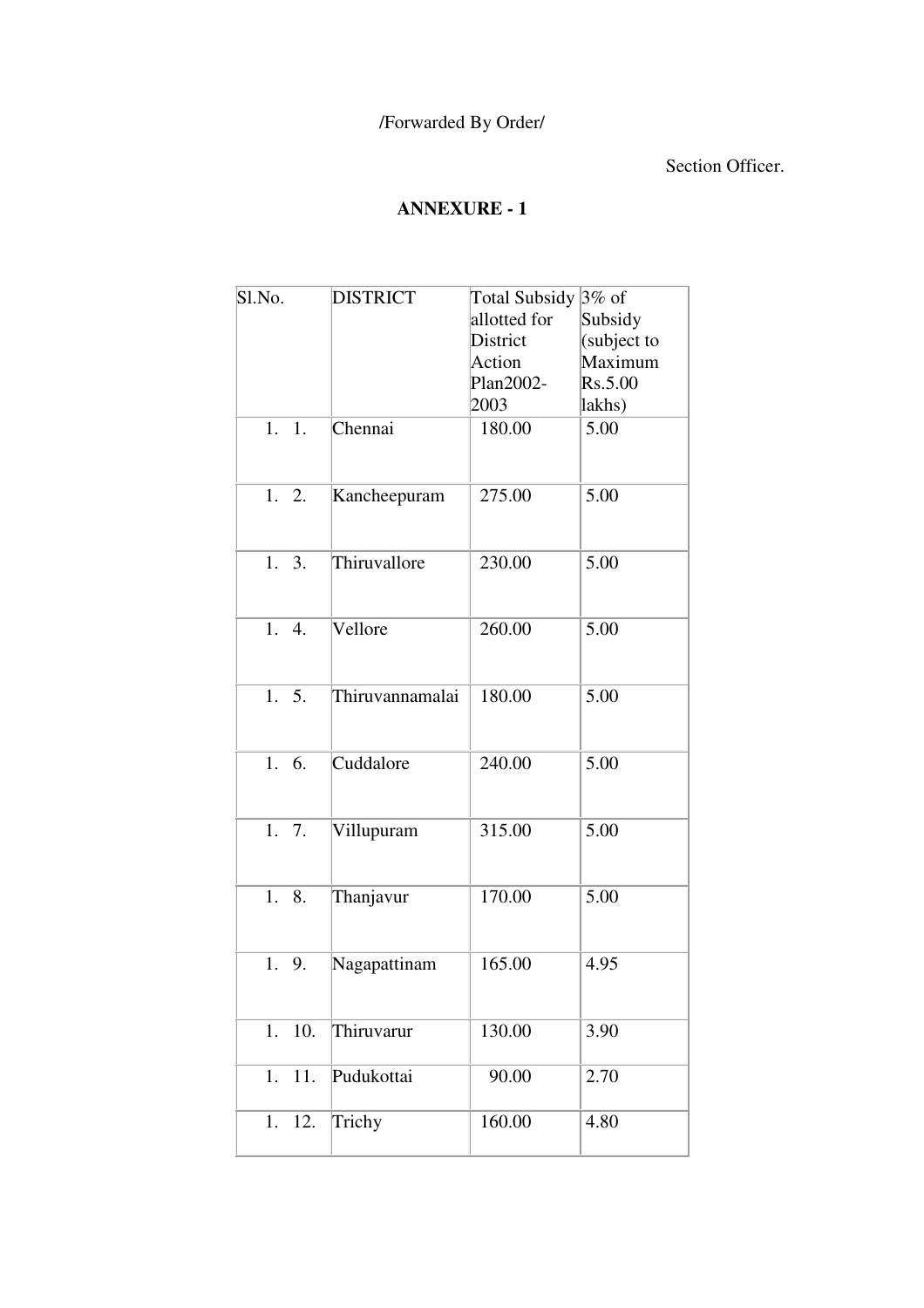## Section Officer.

# **ANNEXURE - 1**

| Sl.No. |     | <b>DISTRICT</b> | <b>Total Subsidy</b> | $3\%$ of    |
|--------|-----|-----------------|----------------------|-------------|
|        |     |                 | allotted for         | Subsidy     |
|        |     |                 | District             | (subject to |
|        |     |                 | Action               | Maximum     |
|        |     |                 | Plan2002-            | Rs.5.00     |
|        |     |                 | 2003                 | lakhs)      |
| 1.     | 1.  | Chennai         | 180.00               | 5.00        |
| 1.     | 2.  | Kancheepuram    | 275.00               | 5.00        |
| 1. 3.  |     | Thiruvallore    | 230.00               | 5.00        |
| 1. 4.  |     | Vellore         | 260.00               | 5.00        |
| 1.5.   |     | Thiruvannamalai | 180.00               | 5.00        |
| 1.     | 6.  | Cuddalore       | 240.00               | 5.00        |
| 1.     | 7.  | Villupuram      | 315.00               | 5.00        |
| 1.     | 8.  | Thanjavur       | 170.00               | 5.00        |
| 1.     | 9.  | Nagapattinam    | 165.00               | 4.95        |
| 1.     | 10. | Thiruvarur      | 130.00               | 3.90        |
| 1.     | 11. | Pudukottai      | 90.00                | 2.70        |
| 1.     | 12. | Trichy          | 160.00               | 4.80        |